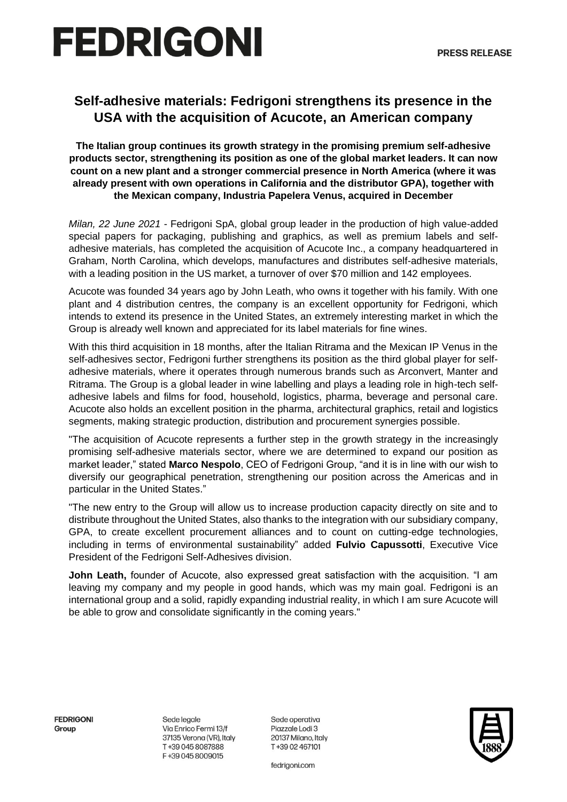# **FEDRIGONI**

### **Self-adhesive materials: Fedrigoni strengthens its presence in the USA with the acquisition of Acucote, an American company**

**The Italian group continues its growth strategy in the promising premium self-adhesive products sector, strengthening its position as one of the global market leaders. It can now count on a new plant and a stronger commercial presence in North America (where it was already present with own operations in California and the distributor GPA), together with the Mexican company, Industria Papelera Venus, acquired in December**

*Milan, 22 June 2021* - Fedrigoni SpA, global group leader in the production of high value-added special papers for packaging, publishing and graphics, as well as premium labels and selfadhesive materials, has completed the acquisition of Acucote Inc., a company headquartered in Graham, North Carolina, which develops, manufactures and distributes self-adhesive materials, with a leading position in the US market, a turnover of over \$70 million and 142 employees.

Acucote was founded 34 years ago by John Leath, who owns it together with his family. With one plant and 4 distribution centres, the company is an excellent opportunity for Fedrigoni, which intends to extend its presence in the United States, an extremely interesting market in which the Group is already well known and appreciated for its label materials for fine wines.

With this third acquisition in 18 months, after the Italian Ritrama and the Mexican IP Venus in the self-adhesives sector, Fedrigoni further strengthens its position as the third global player for selfadhesive materials, where it operates through numerous brands such as Arconvert, Manter and Ritrama. The Group is a global leader in wine labelling and plays a leading role in high-tech selfadhesive labels and films for food, household, logistics, pharma, beverage and personal care. Acucote also holds an excellent position in the pharma, architectural graphics, retail and logistics segments, making strategic production, distribution and procurement synergies possible.

"The acquisition of Acucote represents a further step in the growth strategy in the increasingly promising self-adhesive materials sector, where we are determined to expand our position as market leader," stated **Marco Nespolo**, CEO of Fedrigoni Group, "and it is in line with our wish to diversify our geographical penetration, strengthening our position across the Americas and in particular in the United States."

"The new entry to the Group will allow us to increase production capacity directly on site and to distribute throughout the United States, also thanks to the integration with our subsidiary company, GPA, to create excellent procurement alliances and to count on cutting-edge technologies, including in terms of environmental sustainability" added **Fulvio Capussotti**, Executive Vice President of the Fedrigoni Self-Adhesives division.

**John Leath,** founder of Acucote, also expressed great satisfaction with the acquisition. "I am leaving my company and my people in good hands, which was my main goal. Fedrigoni is an international group and a solid, rapidly expanding industrial reality, in which I am sure Acucote will be able to grow and consolidate significantly in the coming years."

**FFDRIGONI** Group

Sede legale Via Enrico Fermi 13/f 37135 Verona (VR), Italy T+39 045 8087888 F+39 045 8009015

Sede operativa Pigzzgle Lodi 3 20137 Milano, Italy T+39 02 467101

fedrigoni.com